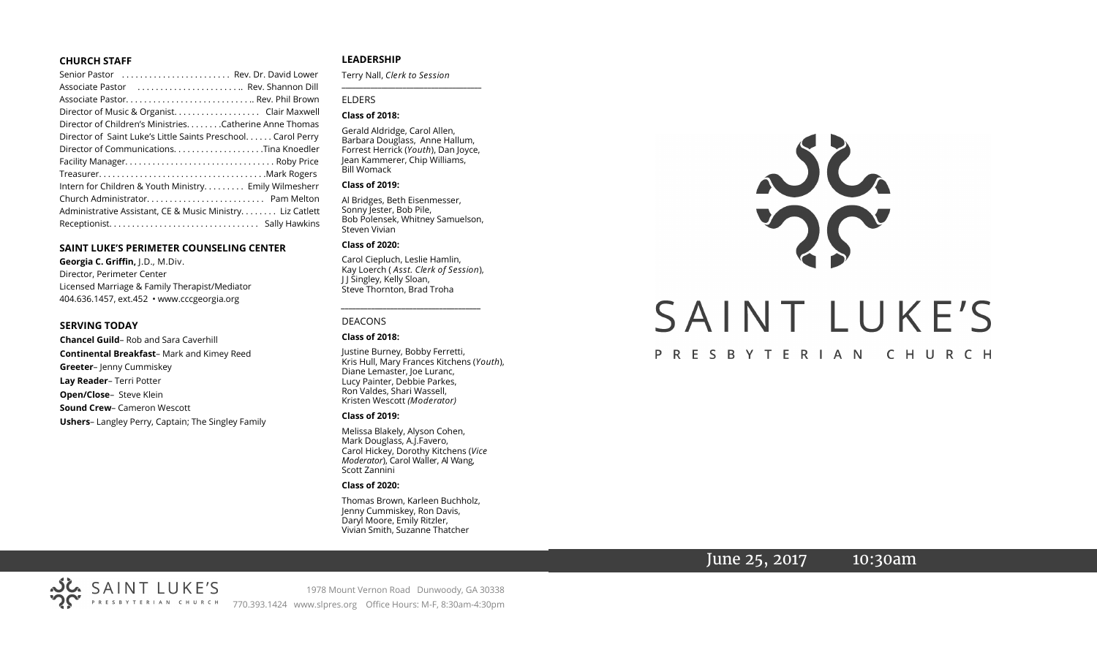### **CHURCH STAFF**

| Senior Pastor  Rev. Dr. David Lower                           |
|---------------------------------------------------------------|
| Associate Pastor  Rev. Shannon Dill                           |
|                                                               |
| Director of Music & Organist. Clair Maxwell                   |
| Director of Children's Ministries. Catherine Anne Thomas      |
| Director of Saint Luke's Little Saints Preschool. Carol Perry |
| Director of CommunicationsTina Knoedler                       |
|                                                               |
|                                                               |
| Intern for Children & Youth Ministry Emily Wilmesherr         |
|                                                               |
| Administrative Assistant, CE & Music Ministry Liz Catlett     |
|                                                               |

### **SAINT LUKE'S PERIMETER COUNSELING CENTER**

**Georgia C. Griffin,** J.D., M.Div. Director, Perimeter Center Licensed Marriage & Family Therapist/Mediator 404.636.1457, ext.452 • www.cccgeorgia.org

### **SERVING TODAY**

**Chancel Guild**– Rob and Sara Caverhill **Continental Breakfast**– Mark and Kimey Reed **Greeter**– Jenny Cummiskey **Lay Reader**– Terri Potter **Open/Close**– Steve Klein **Sound Crew**– Cameron Wescott **Ushers**– Langley Perry, Captain; The Singley Family

### **LEADERSHIP**

Terry Nall, *Clerk to Session*  **\_\_\_\_\_\_\_\_\_\_\_\_\_\_\_\_\_\_\_\_\_\_\_\_\_\_\_\_\_\_\_\_\_\_\_\_\_\_\_**

### ELDERS

### **Class of 2018:**

Gerald Aldridge, Carol Allen, Barbara Douglass, Anne Hallum, Forrest Herrick (*Youth*), Dan Joyce, Jean Kammerer, Chip Williams, Bill Womack

### **Class of 2019:**

Al Bridges, Beth Eisenmesser, Sonny Jester, Bob Pile, Bob Polensek, Whitney Samuelson, Steven Vivian

#### **Class of 2020:**

Carol Ciepluch, Leslie Hamlin, Kay Loerch ( *Asst. Clerk of Session*), J J Singley, Kelly Sloan, Steve Thornton, Brad Troha

*\_\_\_\_\_\_\_\_\_\_\_\_\_\_\_\_\_\_\_\_\_\_\_\_\_\_\_\_\_\_\_\_\_\_\_\_\_*

### DEACONS

#### **Class of 2018:**

Justine Burney, Bobby Ferretti, Kris Hull, Mary Frances Kitchens (*Youth*), Diane Lemaster, Joe Luranc, Lucy Painter, Debbie Parkes, Ron Valdes, Shari Wassell, Kristen Wescott *(Moderator)*

#### **Class of 2019:**

Melissa Blakely, Alyson Cohen, Mark Douglass, A.J.Favero, Carol Hickey, Dorothy Kitchens (*Vice Moderator*), Carol Waller, Al Wang, Scott Zannini

### **Class of 2020:**

Thomas Brown, Karleen Buchholz, Jenny Cummiskey, Ron Davis, Daryl Moore, Emily Ritzler, Vivian Smith, Suzanne Thatcher



# June 25, 2017 10:30am

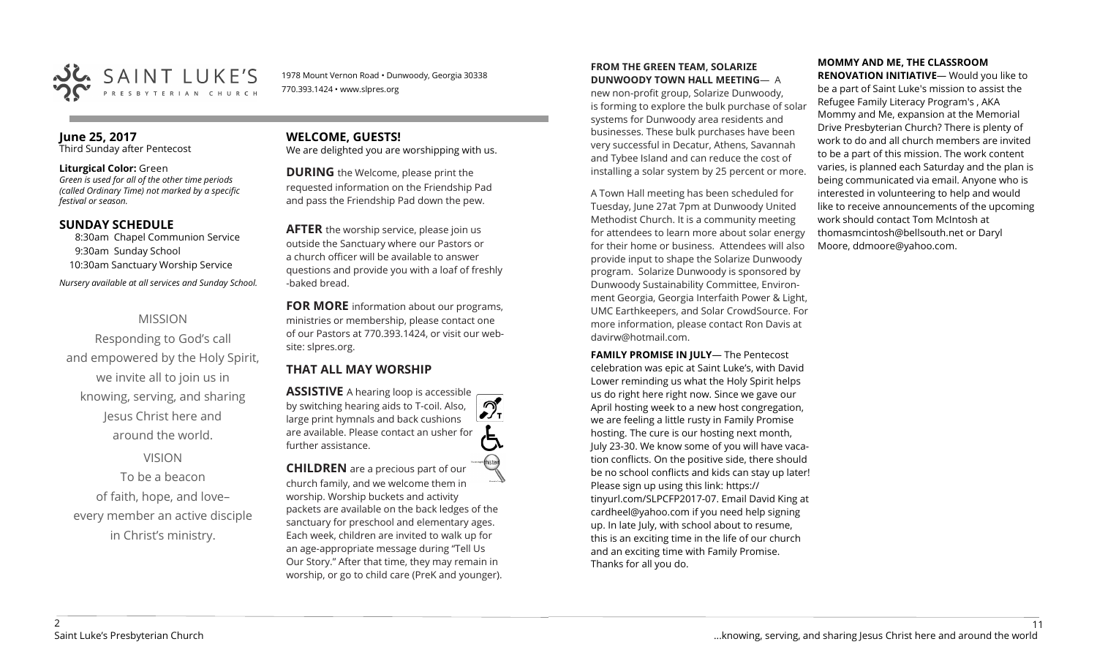

1978 Mount Vernon Road • Dunwoody, Georgia 30338 770.393.1424 • www.slpres.org

# **June 25, 2017**

Third Sunday after Pentecost

### **Liturgical Color:** Green

*Green is used for all of the other time periods (called Ordinary Time) not marked by a specific festival or season.*

### **SUNDAY SCHEDULE**

8:30am Chapel Communion Service 9:30am Sunday School 10:30am Sanctuary Worship Service *Nursery available at all services and Sunday School.* 

# MISSION

Responding to God's call and empowered by the Holy Spirit, we invite all to join us in knowing, serving, and sharing Jesus Christ here and around the world.

# VISION

To be a beacon of faith, hope, and love– every member an active disciple in Christ's ministry.

# **WELCOME, GUESTS!**  We are delighted you are worshipping with us.

**DURING** the Welcome, please print the requested information on the Friendship Pad and pass the Friendship Pad down the pew.

**AFTER** the worship service, please join us outside the Sanctuary where our Pastors or a church officer will be available to answer questions and provide you with a loaf of freshly -baked bread.

**FOR MORE** information about our programs, ministries or membership, please contact one of our Pastors at 770.393.1424, or visit our website: slpres.org.

# **THAT ALL MAY WORSHIP**

**ASSISTIVE** A hearing loop is accessible ീ by switching hearing aids to T-coil. Also,  $\frac{1}{\sqrt{1}}$ large print hymnals and back cushions are available. Please contact an usher for further assistance. **CHILDREN** are a precious part of our

church family, and we welcome them in worship. Worship buckets and activity packets are available on the back ledges of the sanctuary for preschool and elementary ages. Each week, children are invited to walk up for an age-appropriate message during "Tell Us Our Story." After that time, they may remain in worship, or go to child care (PreK and younger).

### **FROM THE GREEN TEAM, SOLARIZE DUNWOODY TOWN HALL MEETING**— A

new non-profit group, Solarize Dunwoody, is forming to explore the bulk purchase of solar systems for Dunwoody area residents and businesses. These bulk purchases have been very successful in Decatur, Athens, Savannah and Tybee Island and can reduce the cost of installing a solar system by 25 percent or more.

A Town Hall meeting has been scheduled for Tuesday, June 27at 7pm at Dunwoody United Methodist Church. It is a community meeting for attendees to learn more about solar energy for their home or business. Attendees will also provide input to shape the Solarize Dunwoody program. Solarize Dunwoody is sponsored by Dunwoody Sustainability Committee, Environment Georgia, Georgia Interfaith Power & Light, UMC Earthkeepers, and Solar CrowdSource. For more information, please contact Ron Davis at davirw@hotmail.com.

**FAMILY PROMISE IN JULY**— The Pentecost celebration was epic at Saint Luke's, with David Lower reminding us what the Holy Spirit helps us do right here right now. Since we gave our April hosting week to a new host congregation, we are feeling a little rusty in Family Promise hosting. The cure is our hosting next month, July 23-30. We know some of you will have vacation conflicts. On the positive side, there should be no school conflicts and kids can stay up later! Please sign up using this link: [https://](https://tinyurl.com/SLPCFP2017-07) [tinyurl.com/SLPCFP2017](https://tinyurl.com/SLPCFP2017-07)-07. Email David King at cardheel@yahoo.com if you need help signing up. In late July, with school about to resume, this is an exciting time in the life of our church and an exciting time with Family Promise. Thanks for all you do.

# **MOMMY AND ME, THE CLASSROOM**

**RENOVATION INITIATIVE**— Would you like to be a part of Saint Luke's mission to assist the Refugee Family Literacy Program's , AKA Mommy and Me, expansion at the Memorial Drive Presbyterian Church? There is plenty of work to do and all church members are invited to be a part of this mission. The work content varies, is planned each Saturday and the plan is being communicated via email. Anyone who is interested in volunteering to help and would like to receive announcements of the upcoming work should contact Tom McIntosh at [thomasmcintosh@bellsouth.net](mailto:thomasmcintosh@bellsouth.net) or Daryl Moore, [ddmoore@yahoo.com.](mailto:ddmoore@yahoo.com)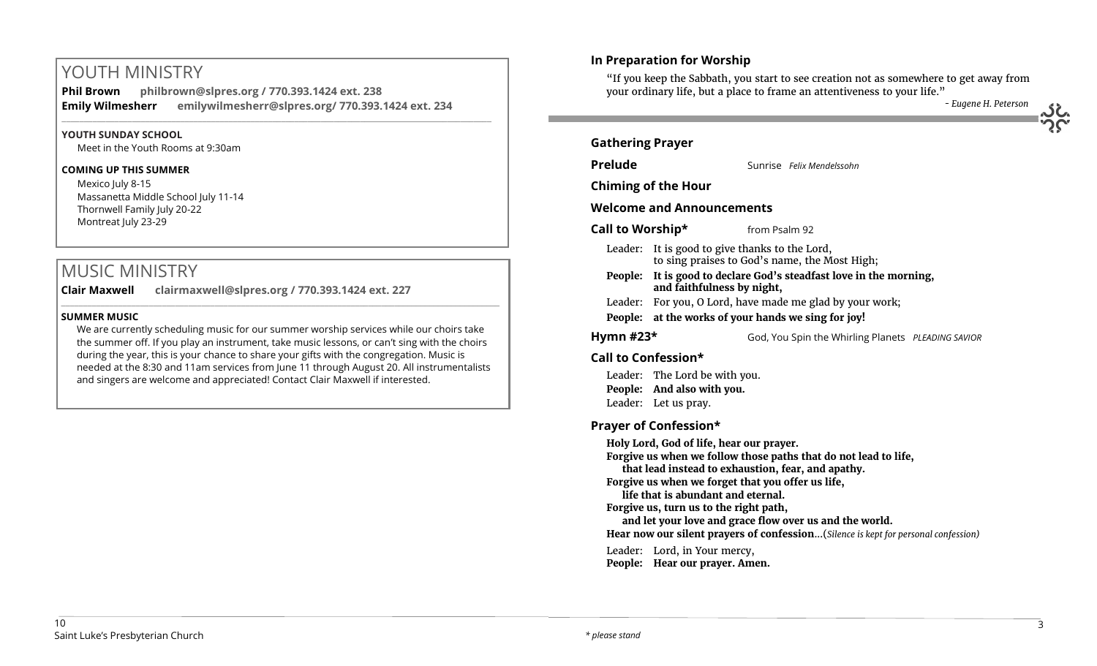# YOUTH MINISTRY

**Phil Brown philbrown@slpres.org / 770.393.1424 ext. 238 Emily Wilmesherr emilywilmesherr@slpres.org/ 770.393.1424 ext. 234**   $\_$  ,  $\_$  ,  $\_$  ,  $\_$  ,  $\_$  ,  $\_$  ,  $\_$  ,  $\_$  ,  $\_$  ,  $\_$  ,  $\_$  ,  $\_$  ,  $\_$  ,  $\_$  ,  $\_$  ,  $\_$  ,  $\_$  ,  $\_$  ,  $\_$  ,  $\_$ 

### **YOUTH SUNDAY SCHOOL**

Meet in the Youth Rooms at 9:30am

### **COMING UP THIS SUMMER**

Mexico July 8-15 Massanetta Middle School July 11-14 Thornwell Family July 20-22 Montreat July 23-29

# MUSIC MINISTRY

**Clair Maxwell clairmaxwell@slpres.org / 770.393.1424 ext. 227**  \_\_\_\_\_\_\_\_\_\_\_\_\_\_\_\_\_\_\_\_\_\_\_\_\_\_\_\_\_\_\_\_\_\_\_\_\_\_\_\_\_\_\_\_\_\_\_\_\_\_\_\_\_\_\_\_\_\_\_\_\_\_\_\_\_\_\_\_\_\_\_\_\_\_\_\_\_\_\_\_\_\_\_\_\_\_\_\_\_\_\_\_\_\_\_\_\_\_\_\_

# **SUMMER MUSIC**

We are currently scheduling music for our summer worship services while our choirs take the summer off. If you play an instrument, take music lessons, or can't sing with the choirs during the year, this is your chance to share your gifts with the congregation. Music is needed at the 8:30 and 11am services from June 11 through August 20. All instrumentalists and singers are welcome and appreciated! Contact Clair Maxwell if interested.

# your ordinary life, but a place to frame an attentiveness to your life." *- Eugene H. Peterson* **Gathering Prayer Prelude** Sunrise *Felix Mendelssohn* **Chiming of the Hour Welcome and Announcements Call to Worship\*** from Psalm 92 Leader: It is good to give thanks to the Lord, to sing praises to God's name, the Most High; **People: It is good to declare God's steadfast love in the morning, and faithfulness by night,** Leader: For you, O Lord, have made me glad by your work; **People: at the works of your hands we sing for joy! Hymn #23\*** God, You Spin the Whirling Planets *PLEADING SAVIOR* **Call to Confession\*** Leader: The Lord be with you. **People: And also with you.** Leader: Let us pray. **Prayer of Confession\***

**In Preparation for Worship** 

**Holy Lord, God of life, hear our prayer. Forgive us when we follow those paths that do not lead to life, that lead instead to exhaustion, fear, and apathy. Forgive us when we forget that you offer us life, life that is abundant and eternal. Forgive us, turn us to the right path, and let your love and grace flow over us and the world. Hear now our silent prayers of confession**...(*Silence is kept for personal confession)*  Leader: Lord, in Your mercy, **People: Hear our prayer. Amen.**

"If you keep the Sabbath, you start to see creation not as somewhere to get away from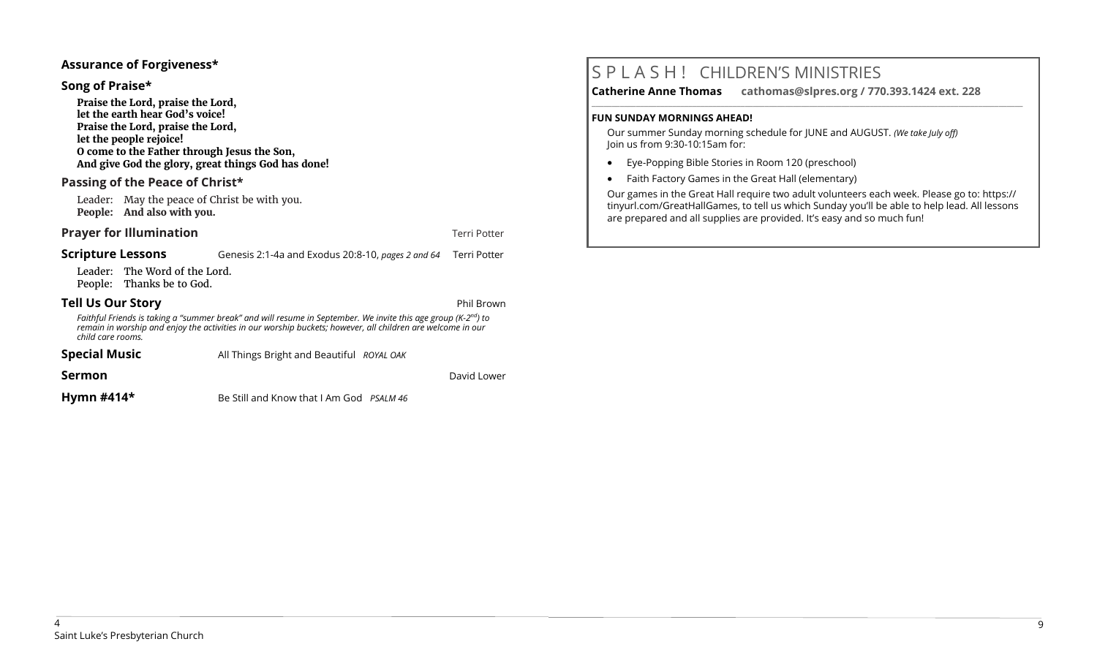### **Assurance of Forgiveness\***

### **Song of Praise\***

**Praise the Lord, praise the Lord, let the earth hear God's voice! Praise the Lord, praise the Lord, let the people rejoice! O come to the Father through Jesus the Son, And give God the glory, great things God has done!** 

# **Passing of the Peace of Christ\***

Leader: May the peace of Christ be with you. **People: And also with you.**

### **Prayer for Illumination Terri Potter**

**Scripture Lessons** Genesis 2:1-4a and Exodus 20:8-10, *pages 2 and 64* Terri Potter

Leader: The Word of the Lord. People: Thanks be to God.

### **Tell Us Our Story Phil Brown**

*Faithful Friends is taking a "summer break" and will resume in September. We invite this age group (K-2 nd) to remain in worship and enjoy the activities in our worship buckets; however, all children are welcome in our child care rooms.*

| <b>Special Music</b> | All Things Bright and Beautiful ROYAL OAK       |             |
|----------------------|-------------------------------------------------|-------------|
| Sermon               |                                                 | David Lower |
| Hymn $#414*$         | Be Still and Know that I Am God <i>PSALM 46</i> |             |

# S P L A S H ! CHILDREN'S MINISTRIES

**Catherine Anne Thomas cathomas@slpres.org / 770.393.1424 ext. 228 \_\_\_\_\_\_\_\_\_\_\_\_\_\_\_\_\_\_\_\_\_\_\_\_\_\_\_\_\_\_\_\_\_\_\_\_\_\_\_\_\_\_\_\_\_\_\_\_\_\_\_\_\_\_\_\_\_\_\_\_\_\_\_\_\_\_\_\_\_\_\_\_\_\_\_\_\_\_\_\_\_\_\_\_\_\_\_\_\_\_\_\_\_\_\_\_\_\_\_\_\_\_\_\_\_\_\_** 

### **FUN SUNDAY MORNINGS AHEAD!**

Our summer Sunday morning schedule for JUNE and AUGUST. *(We take July off)*  Join us from 9:30-10:15am for:

- Eye-Popping Bible Stories in Room 120 (preschool)
- Faith Factory Games in the Great Hall (elementary)

Our games in the Great Hall require two adult volunteers each week. Please go to: https:// tinyurl.com/GreatHallGames, to tell us which Sunday you'll be able to help lead. All lessons are prepared and all supplies are provided. It's easy and so much fun!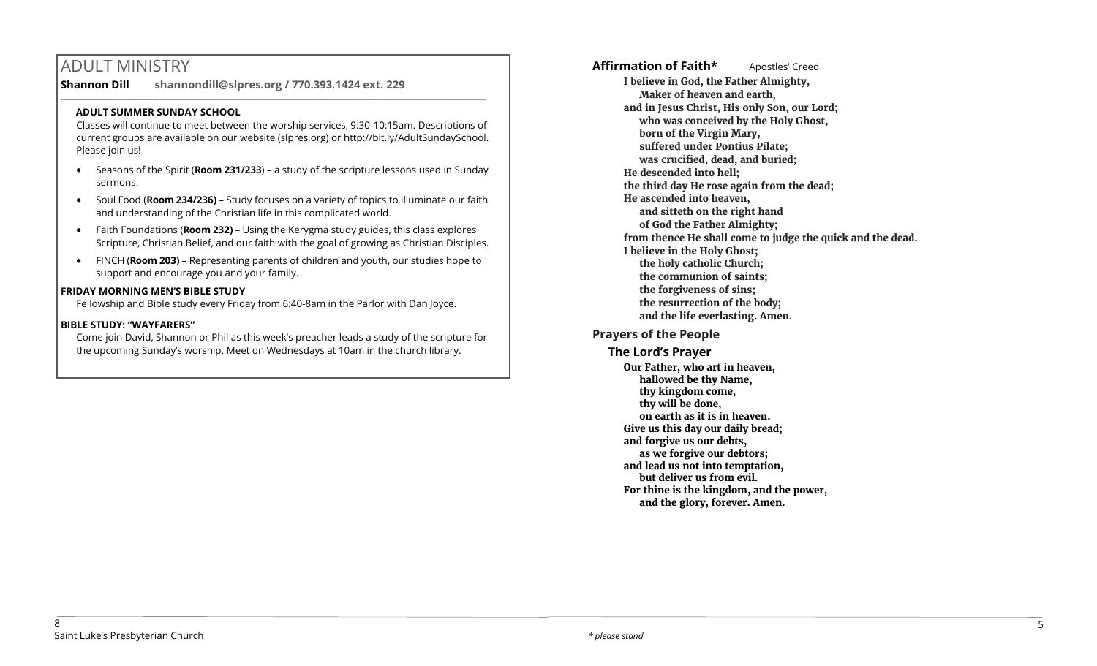# ADULT MINISTRY

**Shannon Dill shannondill@slpres.org / 770.393.1424 ext. 229**   $\_$  ,  $\_$  ,  $\_$  ,  $\_$  ,  $\_$  ,  $\_$  ,  $\_$  ,  $\_$  ,  $\_$  ,  $\_$  ,  $\_$  ,  $\_$  ,  $\_$  ,  $\_$  ,  $\_$  ,  $\_$  ,  $\_$  ,  $\_$  ,  $\_$ 

### **ADULT SUMMER SUNDAY SCHOOL**

Classes will continue to meet between the worship services, 9:30-10:15am. Descriptions of current groups are available on our website (slpres.org) or http://bit.ly/AdultSundaySchool. Please join us!

- Seasons of the Spirit (**Room 231/233**) a study of the scripture lessons used in Sunday sermons.
- Soul Food (**Room 234/236)**  Study focuses on a variety of topics to illuminate our faith and understanding of the Christian life in this complicated world.
- Faith Foundations (**Room 232)**  Using the Kerygma study guides, this class explores Scripture, Christian Belief, and our faith with the goal of growing as Christian Disciples.
- FINCH (**Room 203)** Representing parents of children and youth, our studies hope to support and encourage you and your family.

### **FRIDAY MORNING MEN'S BIBLE STUDY**

Fellowship and Bible study every Friday from 6:40-8am in the Parlor with Dan Joyce.

### **BIBLE STUDY: "WAYFARERS"**

Come join David, Shannon or Phil as this week's preacher leads a study of the scripture for the upcoming Sunday's worship. Meet on Wednesdays at 10am in the church library.

Affirmation of Faith\* **Apostles'** Creed **I believe in God, the Father Almighty, Maker of heaven and earth, and in Jesus Christ, His only Son, our Lord; who was conceived by the Holy Ghost, born of the Virgin Mary, suffered under Pontius Pilate; was crucified, dead, and buried; He descended into hell; the third day He rose again from the dead; He ascended into heaven, and sitteth on the right hand of God the Father Almighty; from thence He shall come to judge the quick and the dead. I believe in the Holy Ghost; the holy catholic Church; the communion of saints; the forgiveness of sins; the resurrection of the body; and the life everlasting. Amen.**

# **Prayers of the People**

**The Lord's Prayer Our Father, who art in heaven, hallowed be thy Name, thy kingdom come, thy will be done, on earth as it is in heaven. Give us this day our daily bread; and forgive us our debts, as we forgive our debtors; and lead us not into temptation, but deliver us from evil. For thine is the kingdom, and the power, and the glory, forever. Amen.**